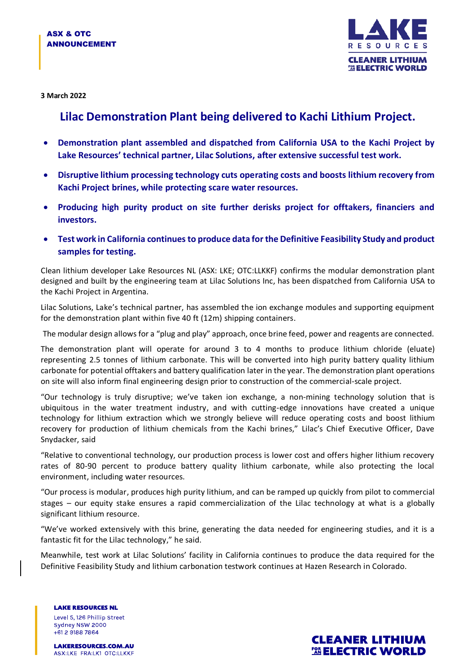

**3 March 2022**

## **Lilac Demonstration Plant being delivered to Kachi Lithium Project.**

- **Demonstration plant assembled and dispatched from California USA to the Kachi Project by Lake Resources' technical partner, Lilac Solutions, after extensive successful test work.**
- **Disruptive lithium processing technology cuts operating costs and boosts lithium recovery from Kachi Project brines, while protecting scare water resources.**
- **Producing high purity product on site further derisks project for offtakers, financiers and investors.**
- **Test work in California continues to produce data for the Definitive Feasibility Study and product samples for testing.**

Clean lithium developer Lake Resources NL (ASX: LKE; OTC:LLKKF) confirms the modular demonstration plant designed and built by the engineering team at Lilac Solutions Inc, has been dispatched from California USA to the Kachi Project in Argentina.

Lilac Solutions, Lake's technical partner, has assembled the ion exchange modules and supporting equipment for the demonstration plant within five 40 ft (12m) shipping containers.

The modular design allows for a "plug and play" approach, once brine feed, power and reagents are connected.

The demonstration plant will operate for around 3 to 4 months to produce lithium chloride (eluate) representing 2.5 tonnes of lithium carbonate. This will be converted into high purity battery quality lithium carbonate for potential offtakers and battery qualification later in the year. The demonstration plant operations on site will also inform final engineering design prior to construction of the commercial-scale project.

"Our technology is truly disruptive; we've taken ion exchange, a non-mining technology solution that is ubiquitous in the water treatment industry, and with cutting-edge innovations have created a unique technology for lithium extraction which we strongly believe will reduce operating costs and boost lithium recovery for production of lithium chemicals from the Kachi brines," Lilac's Chief Executive Officer, Dave Snydacker, said

"Relative to conventional technology, our production process is lower cost and offers higher lithium recovery rates of 80-90 percent to produce battery quality lithium carbonate, while also protecting the local environment, including water resources.

"Our process is modular, produces high purity lithium, and can be ramped up quickly from pilot to commercial stages – our equity stake ensures a rapid commercialization of the Lilac technology at what is a globally significant lithium resource.

"We've worked extensively with this brine, generating the data needed for engineering studies, and it is a fantastic fit for the Lilac technology," he said.

Meanwhile, test work at Lilac Solutions' facility in California continues to produce the data required for the Definitive Feasibility Study and lithium carbonation testwork continues at Hazen Research in Colorado.

**LAKE RESOURCES NL** Level 5, 126 Phillip Street Sydney NSW 2000  $+61291887864$ 

**LAKERESOURCES.COM.AU** ASX:LKE FRA:LK1 OTC:LLKKF

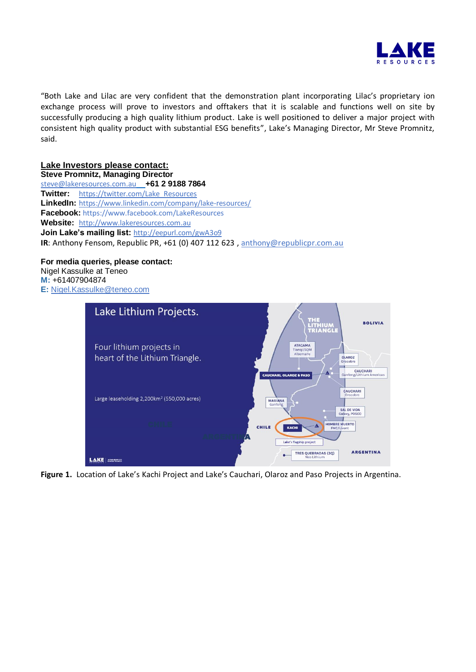

"Both Lake and Lilac are very confident that the demonstration plant incorporating Lilac's proprietary ion exchange process will prove to investors and offtakers that it is scalable and functions well on site by successfully producing a high quality lithium product. Lake is well positioned to deliver a major project with consistent high quality product with substantial ESG benefits", Lake's Managing Director, Mr Steve Promnitz, said.

**Lake Investors please contact: Steve Promnitz, Managing Director**

[steve@lakeresources.com.au](mailto:steve@lakeresources.com.au) **+61 2 9188 7864 Twitter:** [https://twitter.com/Lake\\_Resources](https://twitter.com/Lake_Resources) **LinkedIn:** <https://www.linkedin.com/company/lake-resources/> **Facebook:** https://www.facebook.com/LakeResources **Website:** [http://www.lakeresources.com.au](http://www.lakeresources.com.au/) **Join Lake's mailing list:** <http://eepurl.com/gwA3o9> **IR**: Anthony Fensom, Republic PR, +61 (0) 407 112 623 [, anthony@republicpr.com.au](mailto:anthony@republicpr.com.au)

**For media queries, please contact:**

Nigel Kassulke at Teneo **M:** +61407904874 **E:** [Nigel.Kassulke@teneo.com](mailto:Nigel.Kassulke@teneo.com)



**Figure 1.** Location of Lake's Kachi Project and Lake's Cauchari, Olaroz and Paso Projects in Argentina.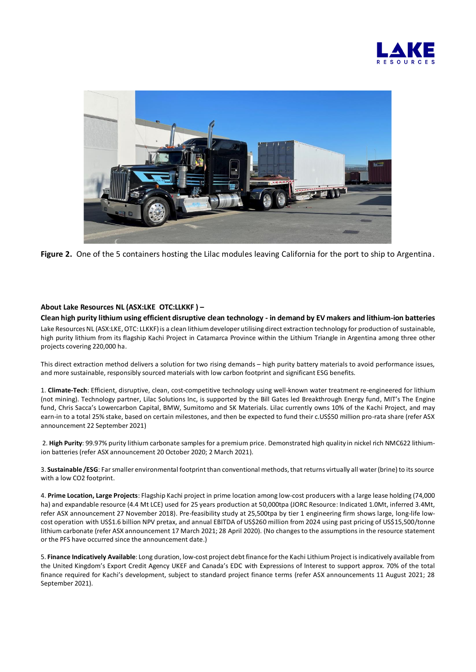



**Figure 2.** One of the 5 containers hosting the Lilac modules leaving California for the port to ship to Argentina.

## **About Lake Resources NL (ASX:LKE OTC:LLKKF ) –**

**Clean high purity lithium using efficient disruptive clean technology - in demand by EV makers and lithium-ion batteries** Lake Resources NL (ASX:LKE, OTC: LLKKF) is a clean lithium developer utilising direct extraction technology for production of sustainable, high purity lithium from its flagship Kachi Project in Catamarca Province within the Lithium Triangle in Argentina among three other projects covering 220,000 ha.

This direct extraction method delivers a solution for two rising demands – high purity battery materials to avoid performance issues, and more sustainable, responsibly sourced materials with low carbon footprint and significant ESG benefits.

1. **Climate-Tech**: Efficient, disruptive, clean, cost-competitive technology using well-known water treatment re-engineered for lithium (not mining). Technology partner, Lilac Solutions Inc, is supported by the Bill Gates led Breakthrough Energy fund, MIT's The Engine fund, Chris Sacca's Lowercarbon Capital, BMW, Sumitomo and SK Materials. Lilac currently owns 10% of the Kachi Project, and may earn-in to a total 25% stake, based on certain milestones, and then be expected to fund their c.US\$50 million pro-rata share (refer ASX announcement 22 September 2021)

2. **High Purity**: 99.97% purity lithium carbonate samples for a premium price. Demonstrated high quality in nickel rich NMC622 lithiumion batteries (refer ASX announcement 20 October 2020; 2 March 2021).

3. **Sustainable /ESG**: Far smaller environmental footprint than conventional methods, that returns virtually all water (brine) to its source with a low CO2 footprint.

4. **Prime Location, Large Projects**: Flagship Kachi project in prime location among low-cost producers with a large lease holding (74,000 ha) and expandable resource (4.4 Mt LCE) used for 25 years production at 50,000tpa (JORC Resource: Indicated 1.0Mt, inferred 3.4Mt, refer ASX announcement 27 November 2018). Pre-feasibility study at 25,500tpa by tier 1 engineering firm shows large, long-life lowcost operation with US\$1.6 billion NPV pretax, and annual EBITDA of US\$260 million from 2024 using past pricing of US\$15,500/tonne lithium carbonate (refer ASX announcement 17 March 2021; 28 April 2020). (No changes to the assumptions in the resource statement or the PFS have occurred since the announcement date.)

5. **Finance Indicatively Available**: Long duration, low-cost project debt finance for the Kachi Lithium Project is indicatively available from the United Kingdom's Export Credit Agency UKEF and Canada's EDC with Expressions of Interest to support approx. 70% of the total finance required for Kachi's development, subject to standard project finance terms (refer ASX announcements 11 August 2021; 28 September 2021).